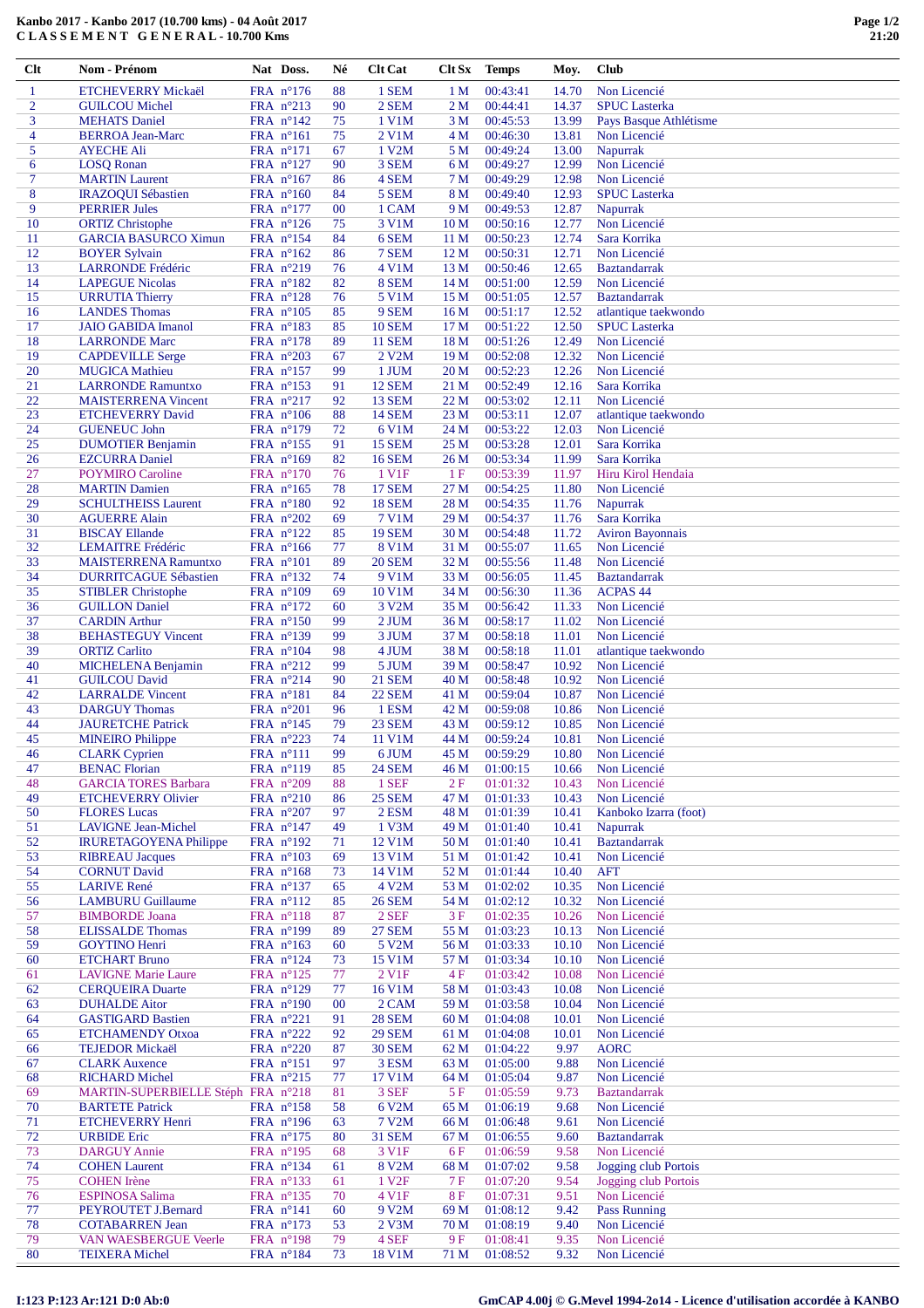| Clt            | Nom - Prénom                                           | Nat Doss.                                | Né       | <b>Clt Cat</b>         | Clt Sx                             | <b>Temps</b>         | Moy.           | Club                                 |
|----------------|--------------------------------------------------------|------------------------------------------|----------|------------------------|------------------------------------|----------------------|----------------|--------------------------------------|
| 1              | <b>ETCHEVERRY Mickaël</b>                              | FRA n°176                                | 88       | 1 SEM                  | 1 <sub>M</sub>                     | 00:43:41             | 14.70          | Non Licencié                         |
| $\overline{c}$ | <b>GUILCOU Michel</b>                                  | FRA n°213                                | 90       | 2 SEM                  | 2 <sub>M</sub>                     | 00:44:41             | 14.37          | <b>SPUC</b> Lasterka                 |
| 3              | <b>MEHATS</b> Daniel                                   | FRA $n^{\circ}142$                       | 75       | 1 V1M                  | 3 M                                | 00:45:53             | 13.99          | Pays Basque Athlétisme               |
| 4              | <b>BERROA Jean-Marc</b>                                | FRA n°161                                | 75       | 2 V1M                  | 4 M                                | 00:46:30             | 13.81          | Non Licencié                         |
| 5              | <b>AYECHE Ali</b>                                      | FRA n°171                                | 67       | 1 V2M                  | 5 M                                | 00:49:24             | 13.00          | Napurrak                             |
| 6              | <b>LOSQ Ronan</b>                                      | FRA $n^{\circ}127$                       | 90       | 3 SEM                  | 6 M                                | 00:49:27             | 12.99          | Non Licencié                         |
| 7              | <b>MARTIN Laurent</b>                                  | FRA n°167                                | 86       | 4 SEM                  | 7 <sub>M</sub>                     | 00:49:29             | 12.98          | Non Licencié                         |
| 8              | <b>IRAZOQUI Sébastien</b>                              | FRA $n^{\circ}160$                       | 84       | 5 SEM                  | 8 M                                | 00:49:40             | 12.93          | <b>SPUC</b> Lasterka                 |
| 9              | <b>PERRIER Jules</b>                                   | FRA $n^{\circ}177$                       | 00       | 1 CAM                  | 9 M                                | 00:49:53             | 12.87          | Napurrak                             |
| 10<br>11       | <b>ORTIZ Christophe</b><br><b>GARCIA BASURCO Ximun</b> | FRA $n^{\circ}126$<br>FRA n°154          | 75<br>84 | 3 V1M<br>6 SEM         | 10 <sub>M</sub>                    | 00:50:16<br>00:50:23 | 12.77<br>12.74 | Non Licencié<br>Sara Korrika         |
| 12             | <b>BOYER Sylvain</b>                                   | FRA $n^{\circ}162$                       | 86       | 7 SEM                  | 11 <sub>M</sub><br>12 <sub>M</sub> | 00:50:31             | 12.71          | Non Licencié                         |
| 13             | <b>LARRONDE Frédéric</b>                               | FRA n°219                                | 76       | 4 V1M                  | 13 <sub>M</sub>                    | 00:50:46             | 12.65          | <b>Baztandarrak</b>                  |
| 14             | <b>LAPEGUE Nicolas</b>                                 | FRA $n^{\circ}182$                       | 82       | 8 SEM                  | 14 <sub>M</sub>                    | 00:51:00             | 12.59          | Non Licencié                         |
| 15             | <b>URRUTIA Thierry</b>                                 | FRA $n^{\circ}128$                       | 76       | 5 V1M                  | 15 <sub>M</sub>                    | 00:51:05             | 12.57          | <b>Baztandarrak</b>                  |
| 16             | <b>LANDES Thomas</b>                                   | FRA $n^{\circ}105$                       | 85       | 9 SEM                  | 16 <sub>M</sub>                    | 00:51:17             | 12.52          | atlantique taekwondo                 |
| 17             | <b>JAIO GABIDA Imanol</b>                              | FRA $n^{\circ}183$                       | 85       | <b>10 SEM</b>          | 17 <sub>M</sub>                    | 00:51:22             | 12.50          | <b>SPUC</b> Lasterka                 |
| 18             | <b>LARRONDE</b> Marc                                   | FRA $n^{\circ}178$                       | 89       | <b>11 SEM</b>          | 18 M                               | 00:51:26             | 12.49          | Non Licencié                         |
| 19             | <b>CAPDEVILLE Serge</b>                                | FRA $n^{\circ}203$                       | 67       | 2 V2M                  | 19 <sub>M</sub>                    | 00:52:08             | 12.32          | Non Licencié                         |
| 20             | <b>MUGICA Mathieu</b>                                  | FRA n°157                                | 99       | 1 JUM                  | 20 <sub>M</sub>                    | 00:52:23             | 12.26          | Non Licencié                         |
| 21             | <b>LARRONDE Ramuntxo</b>                               | FRA n°153                                | 91       | <b>12 SEM</b>          | 21 M                               | 00:52:49             | 12.16          | Sara Korrika                         |
| 22             | <b>MAISTERRENA Vincent</b>                             | FRA $n^{\circ}217$                       | 92       | <b>13 SEM</b>          | 22 M                               | 00:53:02             | 12.11          | Non Licencié                         |
| 23             | <b>ETCHEVERRY David</b>                                | FRA n°106                                | 88       | <b>14 SEM</b>          | 23 M                               | 00:53:11             | 12.07          | atlantique taekwondo                 |
| 24<br>25       | <b>GUENEUC John</b><br><b>DUMOTIER Benjamin</b>        | FRA $n^{\circ}179$<br>FRA n°155          | 72<br>91 | 6 V1M<br><b>15 SEM</b> | 24 M<br>25 M                       | 00:53:22<br>00:53:28 | 12.03<br>12.01 | Non Licencié<br>Sara Korrika         |
| 26             | <b>EZCURRA</b> Daniel                                  | FRA n°169                                | 82       | <b>16 SEM</b>          | 26 <sub>M</sub>                    | 00:53:34             | 11.99          | Sara Korrika                         |
| 27             | <b>POYMIRO</b> Caroline                                | FRA $n^{\circ}170$                       | 76       | 1 V <sub>1</sub> F     | 1F                                 | 00:53:39             | 11.97          | Hiru Kirol Hendaia                   |
| 28             | <b>MARTIN Damien</b>                                   | FRA $n^{\circ}165$                       | 78       | <b>17 SEM</b>          | 27 M                               | 00:54:25             | 11.80          | Non Licencié                         |
| 29             | <b>SCHULTHEISS Laurent</b>                             | FRA $n^{\circ}180$                       | 92       | <b>18 SEM</b>          | 28 M                               | 00:54:35             | 11.76          | Napurrak                             |
| 30             | <b>AGUERRE Alain</b>                                   | FRA $n^{\circ}202$                       | 69       | 7 V1M                  | 29 M                               | 00:54:37             | 11.76          | Sara Korrika                         |
| 31             | <b>BISCAY Ellande</b>                                  | FRA n°122                                | 85       | <b>19 SEM</b>          | 30 M                               | 00:54:48             | 11.72          | <b>Aviron Bayonnais</b>              |
| 32             | <b>LEMAITRE Frédéric</b>                               | FRA $n^{\circ}166$                       | 77       | 8 V1M                  | 31 M                               | 00:55:07             | 11.65          | Non Licencié                         |
| 33             | <b>MAISTERRENA Ramuntxo</b>                            | FRA $n^{\circ}101$                       | 89       | <b>20 SEM</b>          | 32 M                               | 00:55:56             | 11.48          | Non Licencié                         |
| 34             | <b>DURRITCAGUE Sébastien</b>                           | FRA $n^{\circ}132$                       | 74       | 9 V1M                  | 33 M                               | 00:56:05             | 11.45          | <b>Baztandarrak</b>                  |
| 35             | <b>STIBLER Christophe</b>                              | FRA n°109                                | 69       | 10 V1M                 | 34 M                               | 00:56:30             | 11.36          | <b>ACPAS 44</b>                      |
| 36             | <b>GUILLON</b> Daniel                                  | FRA $n^{\circ}172$                       | 60       | 3 V2M                  | 35 M                               | 00:56:42             | 11.33          | Non Licencié                         |
| 37             | <b>CARDIN Arthur</b>                                   | FRA $n^{\circ}150$                       | 99       | 2 JUM                  | 36 M                               | 00:58:17             | 11.02          | Non Licencié                         |
| 38             | <b>BEHASTEGUY Vincent</b>                              | FRA n°139                                | 99       | 3 JUM                  | 37 M                               | 00:58:18             | 11.01          | Non Licencié                         |
| 39<br>40       | <b>ORTIZ Carlito</b><br><b>MICHELENA Benjamin</b>      | FRA $n^{\circ}104$<br>FRA $n^{\circ}212$ | 98<br>99 | 4 JUM<br>5 JUM         | 38 M<br>39 M                       | 00:58:18<br>00:58:47 | 11.01<br>10.92 | atlantique taekwondo<br>Non Licencié |
| 41             | <b>GUILCOU David</b>                                   | FRA $n^{\circ}214$                       | 90       | <b>21 SEM</b>          | 40 M                               | 00:58:48             | 10.92          | Non Licencié                         |
| 42             | <b>LARRALDE Vincent</b>                                | FRA $n^{\circ}181$                       | 84       | <b>22 SEM</b>          | 41 M                               | 00:59:04             | 10.87          | Non Licencié                         |
| 43             | <b>DARGUY Thomas</b>                                   | FRA $n^{\circ}201$                       | 96       | 1 ESM                  | 42 M                               | 00:59:08             | 10.86          | Non Licencié                         |
| 44             | <b>JAURETCHE Patrick</b>                               | FRA $n^{\circ}145$                       | 79       | 23 SEM                 | 43 M                               | 00:59:12             | 10.85          | Non Licencié                         |
| 45             | <b>MINEIRO</b> Philippe                                | FRA n°223                                | 74       | 11 V1M                 | 44 M                               | 00:59:24             | 10.81          | Non Licencié                         |
| 46             | <b>CLARK</b> Cyprien                                   | $FRA$ n°111                              | 99       | 6 JUM                  | 45 M                               | 00:59:29             | 10.80          | Non Licencié                         |
| 47             | <b>BENAC Florian</b>                                   | FRA n°119                                | 85       | <b>24 SEM</b>          | 46 M                               | 01:00:15             | 10.66          | Non Licencié                         |
| 48             | <b>GARCIA TORES Barbara</b>                            | FRA n°209                                | 88       | 1 SEF                  | 2F                                 | 01:01:32             | 10.43          | Non Licencié                         |
| 49             | <b>ETCHEVERRY Olivier</b>                              | FRA n°210                                | 86       | <b>25 SEM</b>          | 47 M                               | 01:01:33             | 10.43          | Non Licencié                         |
| 50             | <b>FLORES Lucas</b>                                    | FRA n°207                                | 97       | 2 ESM                  | 48 M                               | 01:01:39             | 10.41          | Kanboko Izarra (foot)                |
| 51             | <b>LAVIGNE Jean-Michel</b>                             | FRA $n^{\circ}147$                       | 49       | 1 V3M                  | 49 M                               | 01:01:40             | 10.41          | Napurrak                             |
| 52             | <b>IRURETAGOYENA Philippe</b>                          | FRA n°192                                | 71       | 12 V1M                 | 50 M                               | 01:01:40             | 10.41          | <b>Baztandarrak</b>                  |
| 53<br>54       | <b>RIBREAU Jacques</b><br><b>CORNUT David</b>          | FRA $n^{\circ}103$<br>FRA $n^{\circ}168$ | 69<br>73 | 13 V1M<br>14 V1M       | 51 M<br>52 M                       | 01:01:42<br>01:01:44 | 10.41<br>10.40 | Non Licencié<br><b>AFT</b>           |
| 55             | <b>LARIVE</b> René                                     | FRA $n^{\circ}137$                       | 65       | 4 V2M                  | 53 M                               | 01:02:02             | 10.35          | Non Licencié                         |
| 56             | <b>LAMBURU Guillaume</b>                               | FRA n°112                                | 85       | <b>26 SEM</b>          | 54 M                               | 01:02:12             | 10.32          | Non Licencié                         |
| 57             | <b>BIMBORDE</b> Joana                                  | FRA $n^{\circ}118$                       | 87       | 2 SEF                  | 3F                                 | 01:02:35             | 10.26          | Non Licencié                         |
| 58             | <b>ELISSALDE Thomas</b>                                | FRA n°199                                | 89       | <b>27 SEM</b>          | 55 M                               | 01:03:23             | 10.13          | Non Licencié                         |
| 59             | <b>GOYTINO</b> Henri                                   | FRA n°163                                | 60       | 5 V2M                  | 56 M                               | 01:03:33             | 10.10          | Non Licencié                         |
| 60             | <b>ETCHART Bruno</b>                                   | FRA $n^{\circ}124$                       | 73       | 15 V1M                 | 57 M                               | 01:03:34             | 10.10          | Non Licencié                         |
| 61             | <b>LAVIGNE Marie Laure</b>                             | FRA $n^{\circ}125$                       | 77       | 2 V1F                  | 4F                                 | 01:03:42             | 10.08          | Non Licencié                         |
| 62             | <b>CERQUEIRA</b> Duarte                                | FRA n°129                                | 77       | 16 V1M                 | 58 M                               | 01:03:43             | 10.08          | Non Licencié                         |
| 63             | <b>DUHALDE Aitor</b>                                   | FRA n°190                                | 00       | 2 CAM                  | 59 M                               | 01:03:58             | 10.04          | Non Licencié                         |
| 64             | <b>GASTIGARD Bastien</b>                               | FRA $n^{\circ}221$                       | 91       | <b>28 SEM</b>          | 60 <sub>M</sub>                    | 01:04:08             | 10.01          | Non Licencié                         |
| 65             | <b>ETCHAMENDY Otxoa</b>                                | FRA $n^{\circ}222$                       | 92       | <b>29 SEM</b>          | 61 M                               | 01:04:08             | 10.01          | Non Licencié                         |
| 66             | <b>TEJEDOR Mickaël</b>                                 | FRA n°220                                | 87       | <b>30 SEM</b>          | 62 M                               | 01:04:22             | 9.97           | <b>AORC</b>                          |
| 67<br>68       | <b>CLARK Auxence</b><br><b>RICHARD Michel</b>          | FRA $n^{\circ}151$<br>FRA n°215          | 97<br>77 | 3 ESM<br>17 V1M        | 63 M<br>64 M                       | 01:05:00<br>01:05:04 | 9.88<br>9.87   | Non Licencié<br>Non Licencié         |
| 69             | MARTIN-SUPERBIELLE Stéph FRA n°218                     |                                          | 81       | 3 SEF                  | 5F                                 | 01:05:59             | 9.73           | <b>Baztandarrak</b>                  |
| 70             | <b>BARTETE Patrick</b>                                 | FRA n°158                                | 58       | 6 V2M                  | 65 M                               | 01:06:19             | 9.68           | Non Licencié                         |
| 71             | <b>ETCHEVERRY Henri</b>                                | FRA n°196                                | 63       | 7 V <sub>2</sub> M     | 66 M                               | 01:06:48             | 9.61           | Non Licencié                         |
| 72             | <b>URBIDE</b> Eric                                     | FRA n°175                                | 80       | <b>31 SEM</b>          | 67 M                               | 01:06:55             | 9.60           | <b>Baztandarrak</b>                  |
| 73             | <b>DARGUY Annie</b>                                    | FRA $n^{\circ}195$                       | 68       | 3 V1F                  | 6F                                 | 01:06:59             | 9.58           | Non Licencié                         |
| 74             | <b>COHEN</b> Laurent                                   | FRA $n^{\circ}134$                       | 61       | 8 V <sub>2</sub> M     | 68 M                               | 01:07:02             | 9.58           | Jogging club Portois                 |
| 75             | <b>COHEN</b> Irène                                     | FRA n°133                                | 61       | 1 V <sub>2F</sub>      | 7 F                                | 01:07:20             | 9.54           | Jogging club Portois                 |
| 76             | <b>ESPINOSA Salima</b>                                 | FRA n°135                                | 70       | 4 V1F                  | 8F                                 | 01:07:31             | 9.51           | Non Licencié                         |
| 77             | PEYROUTET J.Bernard                                    | FRA $n^{\circ}141$                       | 60       | 9 V <sub>2</sub> M     | 69 M                               | 01:08:12             | 9.42           | <b>Pass Running</b>                  |
| 78             | <b>COTABARREN Jean</b>                                 | FRA $n^{\circ}173$                       | 53       | $2$ V $3M$             | 70 M                               | 01:08:19             | 9.40           | Non Licencié                         |
| 79             | <b>VAN WAESBERGUE Veerle</b>                           | FRA n°198                                | 79       | 4 SEF                  | 9F                                 | 01:08:41             | 9.35           | Non Licencié                         |
| 80             | <b>TEIXERA</b> Michel                                  | FRA n°184                                | 73       | 18 V1M                 | 71 M                               | 01:08:52             | 9.32           | Non Licencié                         |